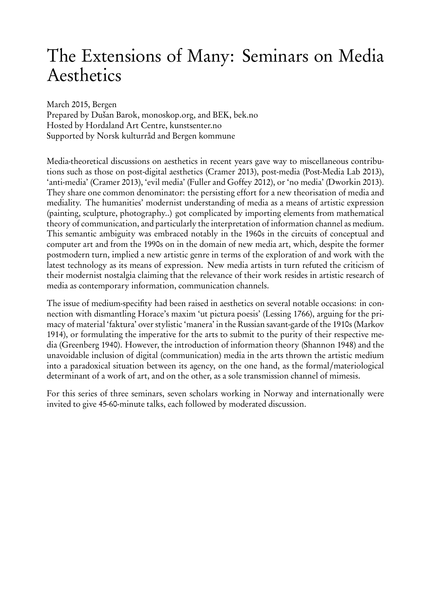# The Extensions of Many: Seminars on Media Aesthetics

March 2015, Bergen

Prepared by Dušan Barok, monoskop.org, and BEK, bek.no Hosted by Hordaland Art Centre, kunstsenter.no Supported by Norsk kulturråd and Bergen kommune

Media-theoretical discussions on aesthetics in recent years gave way to miscellaneous contributions such as those on post-digital aesthetics (Cramer 2013), post-media (Post-Media Lab 2013), 'anti-media' (Cramer 2013), 'evil media' (Fuller and Goffey 2012), or 'no media' (Dworkin 2013). They share one common denominator: the persisting effort for a new theorisation of media and mediality. The humanities' modernist understanding of media as a means of artistic expression (painting, sculpture, photography..) got complicated by importing elements from mathematical theory of communication, and particularly the interpretation of information channel as medium. This semantic ambiguity was embraced notably in the 1960s in the circuits of conceptual and computer art and from the 1990s on in the domain of new media art, which, despite the former postmodern turn, implied a new artistic genre in terms of the exploration of and work with the latest technology as its means of expression. New media artists in turn refuted the criticism of their modernist nostalgia claiming that the relevance of their work resides in artistic research of media as contemporary information, communication channels.

The issue of medium-specifity had been raised in aesthetics on several notable occasions: in connection with dismantling Horace's maxim 'ut pictura poesis' (Lessing 1766), arguing for the primacy of material 'faktura' over stylistic 'manera' in the Russian savant-garde of the 1910s (Markov 1914), or formulating the imperative for the arts to submit to the purity of their respective media (Greenberg 1940). However, the introduction of information theory (Shannon 1948) and the unavoidable inclusion of digital (communication) media in the arts thrown the artistic medium into a paradoxical situation between its agency, on the one hand, as the formal/materiological determinant of a work of art, and on the other, as a sole transmission channel of mimesis.

For this series of three seminars, seven scholars working in Norway and internationally were invited to give 45-60-minute talks, each followed by moderated discussion.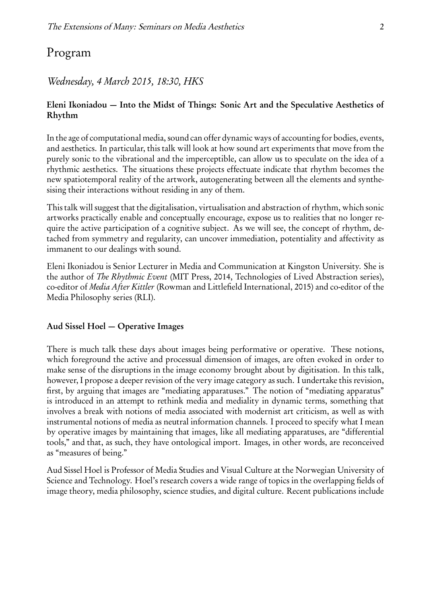# Program

## *Wednesday, 4 March 2015, 18:30, HKS*

## Eleni Ikoniadou — Into the Midst of Things: Sonic Art and the Speculative Aesthetics of Rhythm

In the age of computational media, sound can offer dynamic ways of accounting for bodies, events, and aesthetics. In particular, this talk will look at how sound art experiments that move from the purely sonic to the vibrational and the imperceptible, can allow us to speculate on the idea of a rhythmic aesthetics. The situations these projects effectuate indicate that rhythm becomes the new spatiotemporal reality of the artwork, autogenerating between all the elements and synthesising their interactions without residing in any of them.

This talk will suggest that the digitalisation, virtualisation and abstraction of rhythm, which sonic artworks practically enable and conceptually encourage, expose us to realities that no longer require the active participation of a cognitive subject. As we will see, the concept of rhythm, detached from symmetry and regularity, can uncover immediation, potentiality and affectivity as immanent to our dealings with sound.

Eleni Ikoniadou is Senior Lecturer in Media and Communication at Kingston University. She is the author of *The Rhythmic Event* (MIT Press, 2014, Technologies of Lived Abstraction series), co-editor of *Media After Kittler* (Rowman and Littlefield International, 2015) and co-editor of the Media Philosophy series (RLI).

## Aud Sissel Hoel — Operative Images

There is much talk these days about images being performative or operative. These notions, which foreground the active and processual dimension of images, are often evoked in order to make sense of the disruptions in the image economy brought about by digitisation. In this talk, however, I propose a deeper revision of the very image category as such. I undertake this revision, first, by arguing that images are "mediating apparatuses." The notion of "mediating apparatus" is introduced in an attempt to rethink media and mediality in dynamic terms, something that involves a break with notions of media associated with modernist art criticism, as well as with instrumental notions of media as neutral information channels. I proceed to specify what I mean by operative images by maintaining that images, like all mediating apparatuses, are "differential tools," and that, as such, they have ontological import. Images, in other words, are reconceived as "measures of being."

Aud Sissel Hoel is Professor of Media Studies and Visual Culture at the Norwegian University of Science and Technology. Hoel's research covers a wide range of topics in the overlapping fields of image theory, media philosophy, science studies, and digital culture. Recent publications include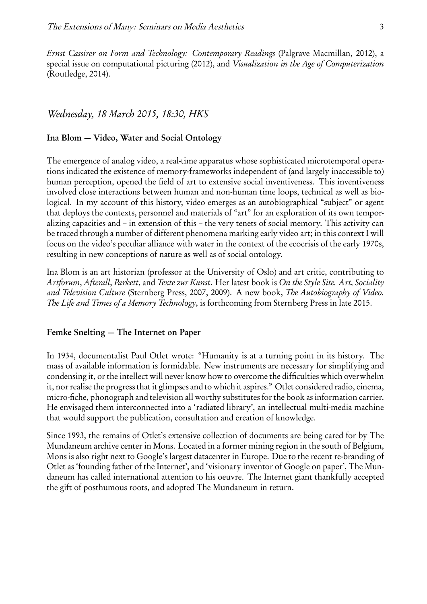*Ernst Cassirer on Form and Technology: Contemporary Readings* (Palgrave Macmillan, 2012), a special issue on computational picturing (2012), and *Visualization in the Age of Computerization* (Routledge, 2014).

#### *Wednesday, 18 March 2015, 18:30, HKS*

#### Ina Blom — Video, Water and Social Ontology

The emergence of analog video, a real-time apparatus whose sophisticated microtemporal operations indicated the existence of memory-frameworks independent of (and largely inaccessible to) human perception, opened the field of art to extensive social inventiveness. This inventiveness involved close interactions between human and non-human time loops, technical as well as biological. In my account of this history, video emerges as an autobiographical "subject" or agent that deploys the contexts, personnel and materials of "art" for an exploration of its own temporalizing capacities and – in extension of this – the very tenets of social memory. This activity can be traced through a number of different phenomena marking early video art; in this context I will focus on the video's peculiar alliance with water in the context of the ecocrisis of the early 1970s, resulting in new conceptions of nature as well as of social ontology.

Ina Blom is an art historian (professor at the University of Oslo) and art critic, contributing to *Artforum*, *Afterall*, *Parkett*, and *Texte zur Kunst*. Her latest book is *On the Style Site. Art, Sociality and Television Culture* (Sternberg Press, 2007, 2009). A new book, *The Autobiography of Video. The Life and Times of a Memory Technology*, is forthcoming from Sternberg Press in late 2015.

#### Femke Snelting — The Internet on Paper

In 1934, documentalist Paul Otlet wrote: "Humanity is at a turning point in its history. The mass of available information is formidable. New instruments are necessary for simplifying and condensing it, or the intellect will never know how to overcome the difficulties which overwhelm it, nor realise the progress that it glimpses and to which it aspires." Otlet considered radio, cinema, micro-fiche, phonograph and television all worthy substitutes for the book as information carrier. He envisaged them interconnected into a 'radiated library', an intellectual multi-media machine that would support the publication, consultation and creation of knowledge.

Since 1993, the remains of Otlet's extensive collection of documents are being cared for by The Mundaneum archive center in Mons. Located in a former mining region in the south of Belgium, Mons is also right next to Google's largest datacenter in Europe. Due to the recent re-branding of Otlet as 'founding father of the Internet', and 'visionary inventor of Google on paper', The Mundaneum has called international attention to his oeuvre. The Internet giant thankfully accepted the gift of posthumous roots, and adopted The Mundaneum in return.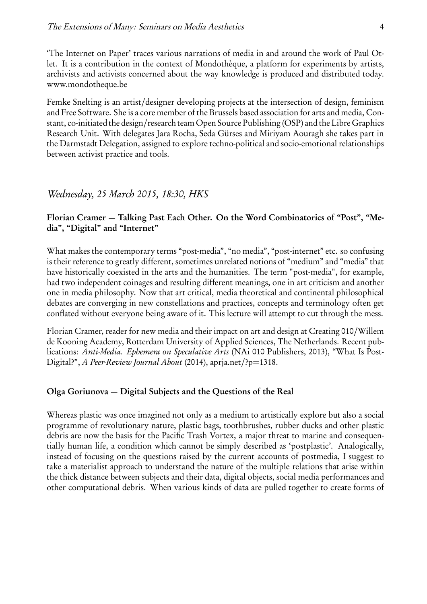'The Internet on Paper' traces various narrations of media in and around the work of Paul Otlet. It is a contribution in the context of Mondothèque, a platform for experiments by artists, archivists and activists concerned about the way knowledge is produced and distributed today. www.mondotheque.be

Femke Snelting is an artist/designer developing projects at the intersection of design, feminism and Free Software. She is a core member of the Brussels based association for arts and media, Constant, co-initiated the design/research team Open Source Publishing (OSP) and the Libre Graphics Research Unit. With delegates Jara Rocha, Seda Gürses and Miriyam Aouragh she takes part in the Darmstadt Delegation, assigned to explore techno-political and socio-emotional relationships between activist practice and tools.

#### *Wednesday, 25 March 2015, 18:30, HKS*

#### Florian Cramer — Talking Past Each Other. On the Word Combinatorics of "Post", "Media", "Digital" and "Internet"

What makes the contemporary terms "post-media", "no media", "post-internet" etc. so confusing is their reference to greatly different, sometimes unrelated notions of "medium" and "media" that have historically coexisted in the arts and the humanities. The term "post-media", for example, had two independent coinages and resulting different meanings, one in art criticism and another one in media philosophy. Now that art critical, media theoretical and continental philosophical debates are converging in new constellations and practices, concepts and terminology often get conflated without everyone being aware of it. This lecture will attempt to cut through the mess.

Florian Cramer, reader for new media and their impact on art and design at Creating 010/Willem de Kooning Academy, Rotterdam University of Applied Sciences, The Netherlands. Recent publications: *Anti-Media. Ephemera on Speculative Arts* (NAi 010 Publishers, 2013), "What Is Post-Digital?", *A Peer-Review Journal About* (2014), apria.net/?p=1318.

#### Olga Goriunova — Digital Subjects and the Questions of the Real

Whereas plastic was once imagined not only as a medium to artistically explore but also a social programme of revolutionary nature, plastic bags, toothbrushes, rubber ducks and other plastic debris are now the basis for the Pacific Trash Vortex, a major threat to marine and consequentially human life, a condition which cannot be simply described as 'postplastic'. Analogically, instead of focusing on the questions raised by the current accounts of postmedia, I suggest to take a materialist approach to understand the nature of the multiple relations that arise within the thick distance between subjects and their data, digital objects, social media performances and other computational debris. When various kinds of data are pulled together to create forms of